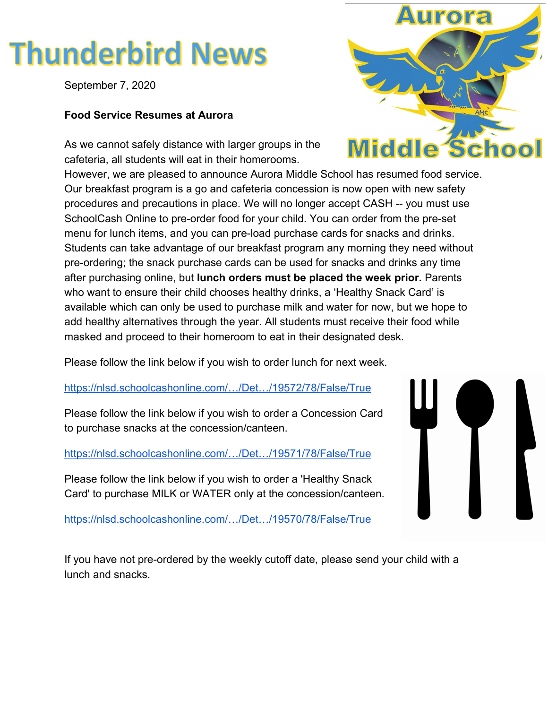# **Thunderbird News**

September 7, 2020

## **Food Service Resumes at Aurora**

As we cannot safely distance with larger groups in the cafeteria, all students will eat in their homerooms.

However, we are pleased to announce Aurora Middle School has resumed food service. Our breakfast program is a go and cafeteria concession is now open with new safety procedures and precautions in place. We will no longer accept CASH -- you must use SchoolCash Online to pre-order food for your child. You can order from the pre-set menu for lunch items, and you can pre-load purchase cards for snacks and drinks. Students can take advantage of our breakfast program any morning they need without pre-ordering; the snack purchase cards can be used for snacks and drinks any time after purchasing online, but **lunch orders must be placed the week prior.** Parents who want to ensure their child chooses healthy drinks, a 'Healthy Snack Card' is available which can only be used to purchase milk and water for now, but we hope to add healthy alternatives through the year. All students must receive their food while masked and proceed to their homeroom to eat in their designated desk.

Please follow the link below if you wish to order lunch for next week.

[https://nlsd.schoolcashonline.com/…/Det…/19572/78/False/True](https://l.facebook.com/l.php?u=https%3A%2F%2Fnlsd.schoolcashonline.com%2FFee%2FDetails%2F19572%2F78%2FFalse%2FTrue%3Ffbclid%3DIwAR0uo0E3na_pkv-ViJCiftMbaytNhtuzkXbkX-SoWAJQ0JV57ARuy6gssJs&h=AT0tpRYDRPY8vGm0BkQK7VJkNai3fuJV0SUKUSktY796JghZCGKKqpxExsQhvwTyhNvfTG_VX3KwZHeWxRFtr1aAHwrDCoppuG9gcvzzYZzEF-LIvnVLJDkBNr4Vzben5ybOi3vzsx52IjhZoGXpGQeD-RVyirmFAfAtVXtggdMBS3AJ_6F3jw6hGhDZXhhwUoieoinMibz_DCjCjzT5cIJKpDPzf1FJUcsH67sz0gUGamntpKqnCDlz-0hc-b8yQMkCkbUanX9wCbnqaghJxVOj67HWxuAnNDrjfdbRUsrFTdkWw54UFXP2y2kFOiEeNyDHxlwSnVm2netS7Uvo8a8zRcrHxw5g9WCwH1KmIdN_lpWTx1KjGn_k9995VoH4caLFbSp7EdbKdFWl6V2vba5flBJwT1kgp7D3JT5e_qZhUcUkYNK9QVGkgkDGZJce-wUVTMw2IkUipIScIKEMLMkfbOa0jWAJId3NRWjfi14K3Q_4r3i0EjnNzk1rhzq3Fq7kkXmzyinWfjPeSDCXcfNJygDwmSOma5ppEqlNAm66vu_qTQAWCnaJYh7JzGv9nsSUNk54NIOYUIF4fYS341xGJcrZiIS75loWp0CRoDIdWe75PpG6z207om3tK7zPqvTRtbiL2pI)

Please follow the link below if you wish to order a Concession Card to purchase snacks at the concession/canteen.

[https://nlsd.schoolcashonline.com/…/Det…/19571/78/False/True](https://nlsd.schoolcashonline.com/Fee/Details/19571/78/False/True?fbclid=IwAR0uo0E3na_pkv-ViJCiftMbaytNhtuzkXbkX-SoWAJQ0JV57ARuy6gssJs)

Please follow the link below if you wish to order a 'Healthy Snack Card' to purchase MILK or WATER only at the concession/canteen.

[https://nlsd.schoolcashonline.com/…/Det…/19570/78/False/True](https://nlsd.schoolcashonline.com/Fee/Details/19570/78/False/True?fbclid=IwAR0uo0E3na_pkv-ViJCiftMbaytNhtuzkXbkX-SoWAJQ0JV57ARuy6gssJs)



If you have not pre-ordered by the weekly cutoff date, please send your child with a lunch and snacks.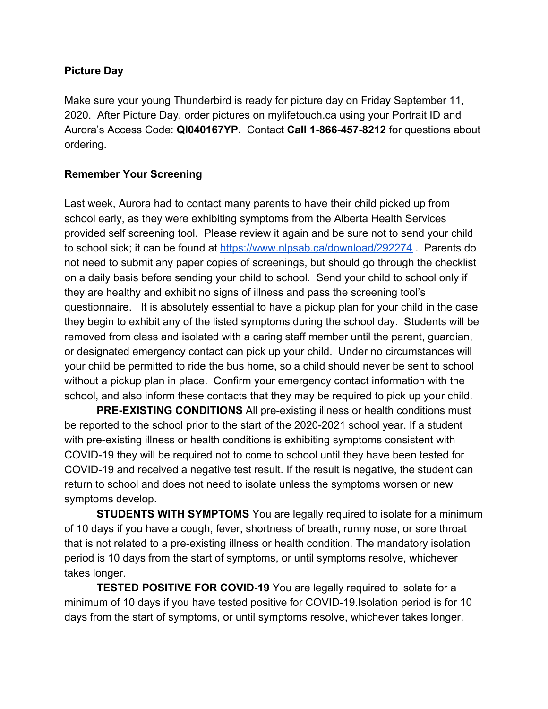## **Picture Day**

Make sure your young Thunderbird is ready for picture day on Friday September 11, 2020. After Picture Day, order pictures on mylifetouch.ca using your Portrait ID and Aurora's Access Code: **QI040167YP.** Contact **Call 1-866-457-8212** for questions about ordering.

#### **Remember Your Screening**

Last week, Aurora had to contact many parents to have their child picked up from school early, as they were exhibiting symptoms from the Alberta Health Services provided self screening tool. Please review it again and be sure not to send your child to school sick; it can be found at <https://www.nlpsab.ca/download/292274>. Parents do not need to submit any paper copies of screenings, but should go through the checklist on a daily basis before sending your child to school. Send your child to school only if they are healthy and exhibit no signs of illness and pass the screening tool's questionnaire. It is absolutely essential to have a pickup plan for your child in the case they begin to exhibit any of the listed symptoms during the school day. Students will be removed from class and isolated with a caring staff member until the parent, guardian, or designated emergency contact can pick up your child. Under no circumstances will your child be permitted to ride the bus home, so a child should never be sent to school without a pickup plan in place. Confirm your emergency contact information with the school, and also inform these contacts that they may be required to pick up your child.

**PRE-EXISTING CONDITIONS** All pre-existing illness or health conditions must be reported to the school prior to the start of the 2020-2021 school year. If a student with pre-existing illness or health conditions is exhibiting symptoms consistent with COVID-19 they will be required not to come to school until they have been tested for COVID-19 and received a negative test result. If the result is negative, the student can return to school and does not need to isolate unless the symptoms worsen or new symptoms develop.

**STUDENTS WITH SYMPTOMS** You are legally required to isolate for a minimum of 10 days if you have a cough, fever, shortness of breath, runny nose, or sore throat that is not related to a pre-existing illness or health condition. The mandatory isolation period is 10 days from the start of symptoms, or until symptoms resolve, whichever takes longer.

**TESTED POSITIVE FOR COVID-19** You are legally required to isolate for a minimum of 10 days if you have tested positive for COVID-19.Isolation period is for 10 days from the start of symptoms, or until symptoms resolve, whichever takes longer.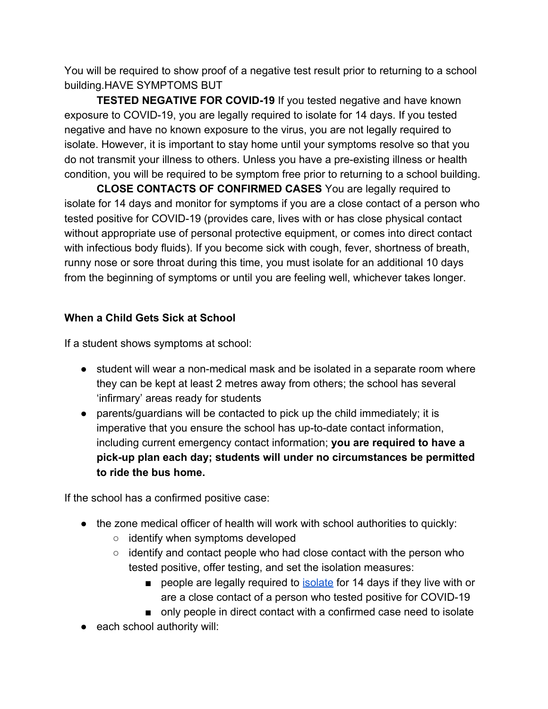You will be required to show proof of a negative test result prior to returning to a school building.HAVE SYMPTOMS BUT

**TESTED NEGATIVE FOR COVID-19** If you tested negative and have known exposure to COVID-19, you are legally required to isolate for 14 days. If you tested negative and have no known exposure to the virus, you are not legally required to isolate. However, it is important to stay home until your symptoms resolve so that you do not transmit your illness to others. Unless you have a pre-existing illness or health condition, you will be required to be symptom free prior to returning to a school building.

**CLOSE CONTACTS OF CONFIRMED CASES** You are legally required to isolate for 14 days and monitor for symptoms if you are a close contact of a person who tested positive for COVID-19 (provides care, lives with or has close physical contact without appropriate use of personal protective equipment, or comes into direct contact with infectious body fluids). If you become sick with cough, fever, shortness of breath, runny nose or sore throat during this time, you must isolate for an additional 10 days from the beginning of symptoms or until you are feeling well, whichever takes longer.

# **When a Child Gets Sick at School**

If a student shows symptoms at school:

- student will wear a non-medical mask and be isolated in a separate room where they can be kept at least 2 metres away from others; the school has several 'infirmary' areas ready for students
- parents/guardians will be contacted to pick up the child immediately; it is imperative that you ensure the school has up-to-date contact information, including current emergency contact information; **you are required to have a pick-up plan each day; students will under no circumstances be permitted to ride the bus home.**

If the school has a confirmed positive case:

- the zone medical officer of health will work with school authorities to quickly:
	- identify when symptoms developed
	- identify and contact people who had close contact with the person who tested positive, offer testing, and set the isolation measures:
		- pe[o](https://www.alberta.ca/isolation.aspx)ple are legally required to [isolate](https://www.alberta.ca/isolation.aspx) for 14 days if they live with or are a close contact of a person who tested positive for COVID-19
		- only people in direct contact with a confirmed case need to isolate
- each school authority will: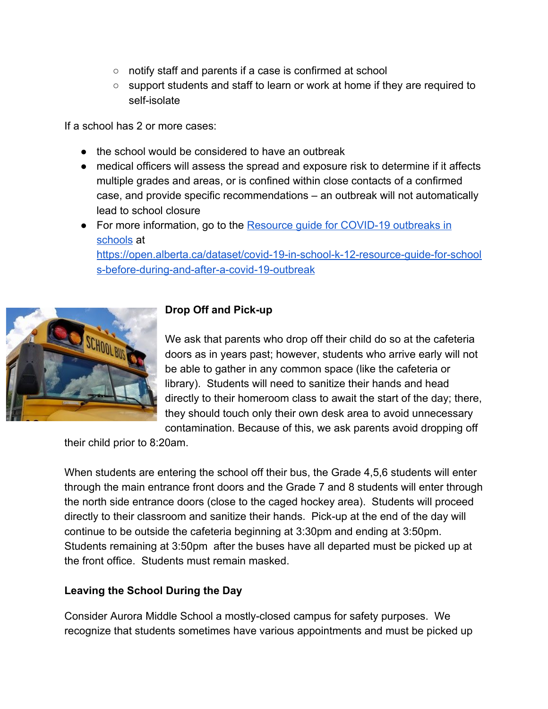- notify staff and parents if a case is confirmed at school
- support students and staff to learn or work at home if they are required to self-isolate

If a school has 2 or more cases:

- the school would be considered to have an outbreak
- medical officers will assess the spread and exposure risk to determine if it affects multiple grades and areas, or is confined within close contacts of a confirmed case, and provide specific recommendations – an outbreak will not automatically lead to school closure
- For more information, go to the Resource quide for COVID-19 outbreaks in [schools](https://open.alberta.ca/dataset/covid-19-in-school-k-12-resource-guide-for-schools-before-during-and-after-a-covid-19-outbreak) at [https://open.alberta.ca/dataset/covid-19-in-school-k-12-resource-guide-for-school](https://open.alberta.ca/dataset/covid-19-in-school-k-12-resource-guide-for-schools-before-during-and-after-a-covid-19-outbreak)

[s-before-during-and-after-a-covid-19-outbreak](https://open.alberta.ca/dataset/covid-19-in-school-k-12-resource-guide-for-schools-before-during-and-after-a-covid-19-outbreak)



## **Drop Off and Pick-up**

We ask that parents who drop off their child do so at the cafeteria doors as in years past; however, students who arrive early will not be able to gather in any common space (like the cafeteria or library). Students will need to sanitize their hands and head directly to their homeroom class to await the start of the day; there, they should touch only their own desk area to avoid unnecessary contamination. Because of this, we ask parents avoid dropping off

their child prior to 8:20am.

When students are entering the school off their bus, the Grade 4,5,6 students will enter through the main entrance front doors and the Grade 7 and 8 students will enter through the north side entrance doors (close to the caged hockey area). Students will proceed directly to their classroom and sanitize their hands. Pick-up at the end of the day will continue to be outside the cafeteria beginning at 3:30pm and ending at 3:50pm. Students remaining at 3:50pm after the buses have all departed must be picked up at the front office. Students must remain masked.

# **Leaving the School During the Day**

Consider Aurora Middle School a mostly-closed campus for safety purposes. We recognize that students sometimes have various appointments and must be picked up